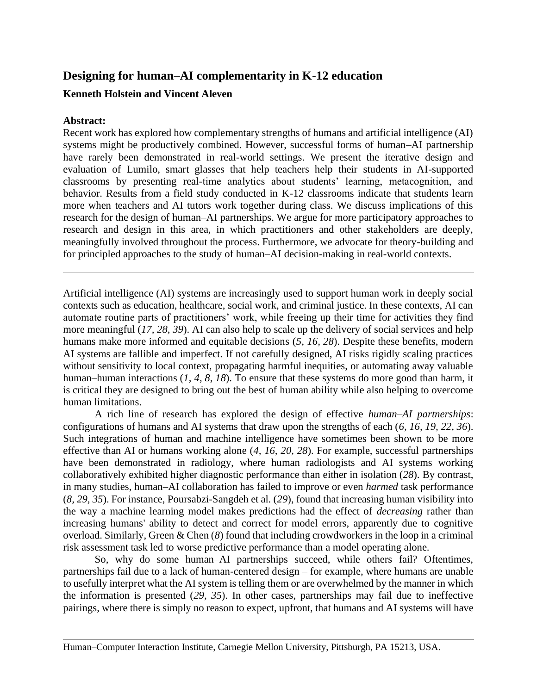# **Designing for human–AI complementarity in K-12 education**

# **Kenneth Holstein and Vincent Aleven**

## **Abstract:**

Recent work has explored how complementary strengths of humans and artificial intelligence (AI) systems might be productively combined. However, successful forms of human–AI partnership have rarely been demonstrated in real-world settings. We present the iterative design and evaluation of Lumilo, smart glasses that help teachers help their students in AI-supported classrooms by presenting real-time analytics about students' learning, metacognition, and behavior. Results from a field study conducted in K-12 classrooms indicate that students learn more when teachers and AI tutors work together during class. We discuss implications of this research for the design of human–AI partnerships. We argue for more participatory approaches to research and design in this area, in which practitioners and other stakeholders are deeply, meaningfully involved throughout the process. Furthermore, we advocate for theory-building and for principled approaches to the study of human–AI decision-making in real-world contexts.

Artificial intelligence (AI) systems are increasingly used to support human work in deeply social contexts such as education, healthcare, social work, and criminal justice. In these contexts, AI can automate routine parts of practitioners' work, while freeing up their time for activities they find more meaningful (*17, 28*, *39*). AI can also help to scale up the delivery of social services and help humans make more informed and equitable decisions (*5, 16, 28*). Despite these benefits, modern AI systems are fallible and imperfect. If not carefully designed, AI risks rigidly scaling practices without sensitivity to local context, propagating harmful inequities, or automating away valuable human–human interactions (*1, 4, 8*, *18*). To ensure that these systems do more good than harm, it is critical they are designed to bring out the best of human ability while also helping to overcome human limitations.

A rich line of research has explored the design of effective *human–AI partnerships*: configurations of humans and AI systems that draw upon the strengths of each (*6, 16, 19, 22, 36*). Such integrations of human and machine intelligence have sometimes been shown to be more effective than AI or humans working alone (*4, 16, 20, 28*). For example, successful partnerships have been demonstrated in radiology, where human radiologists and AI systems working collaboratively exhibited higher diagnostic performance than either in isolation (*28*). By contrast, in many studies, human–AI collaboration has failed to improve or even *harmed* task performance (*8, 29, 35*). For instance, Poursabzi-Sangdeh et al. (*29*), found that increasing human visibility into the way a machine learning model makes predictions had the effect of *decreasing* rather than increasing humans' ability to detect and correct for model errors, apparently due to cognitive overload. Similarly, Green & Chen (*8*) found that including crowdworkers in the loop in a criminal risk assessment task led to worse predictive performance than a model operating alone.

So, why do some human–AI partnerships succeed, while others fail? Oftentimes, partnerships fail due to a lack of human-centered design – for example, where humans are unable to usefully interpret what the AI system is telling them or are overwhelmed by the manner in which the information is presented (*29, 35*). In other cases, partnerships may fail due to ineffective pairings, where there is simply no reason to expect, upfront, that humans and AI systems will have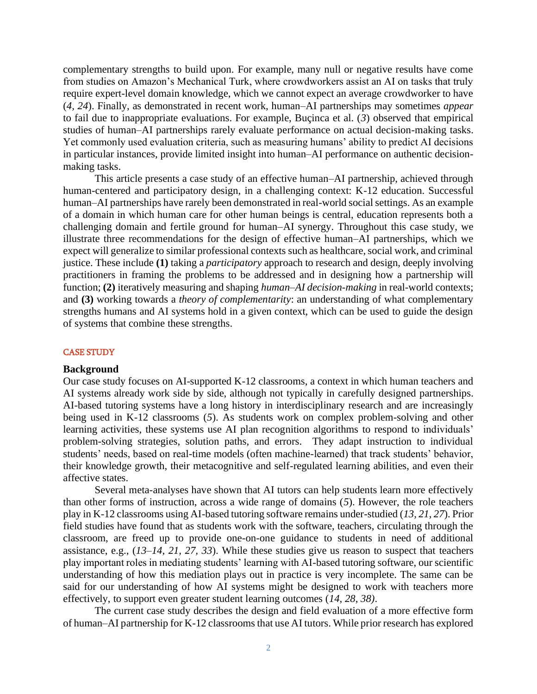complementary strengths to build upon. For example, many null or negative results have come from studies on Amazon's Mechanical Turk, where crowdworkers assist an AI on tasks that truly require expert-level domain knowledge, which we cannot expect an average crowdworker to have (*4, 24*). Finally, as demonstrated in recent work, human–AI partnerships may sometimes *appear* to fail due to inappropriate evaluations. For example, Buçinca et al. (*3*) observed that empirical studies of human–AI partnerships rarely evaluate performance on actual decision-making tasks. Yet commonly used evaluation criteria, such as measuring humans' ability to predict AI decisions in particular instances, provide limited insight into human–AI performance on authentic decisionmaking tasks.

This article presents a case study of an effective human–AI partnership, achieved through human-centered and participatory design, in a challenging context: K-12 education. Successful human–AI partnerships have rarely been demonstrated in real-world social settings. As an example of a domain in which human care for other human beings is central, education represents both a challenging domain and fertile ground for human–AI synergy. Throughout this case study, we illustrate three recommendations for the design of effective human–AI partnerships, which we expect will generalize to similar professional contexts such as healthcare, social work, and criminal justice. These include **(1)** taking a *participatory* approach to research and design, deeply involving practitioners in framing the problems to be addressed and in designing how a partnership will function; **(2)** iteratively measuring and shaping *human–AI decision-making* in real-world contexts; and **(3)** working towards a *theory of complementarity*: an understanding of what complementary strengths humans and AI systems hold in a given context, which can be used to guide the design of systems that combine these strengths.

### CASE STUDY

#### **Background**

Our case study focuses on AI-supported K-12 classrooms, a context in which human teachers and AI systems already work side by side, although not typically in carefully designed partnerships. AI-based tutoring systems have a long history in interdisciplinary research and are increasingly being used in K-12 classrooms (*5*). As students work on complex problem-solving and other learning activities, these systems use AI plan recognition algorithms to respond to individuals' problem-solving strategies, solution paths, and errors. They adapt instruction to individual students' needs, based on real-time models (often machine-learned) that track students' behavior, their knowledge growth, their metacognitive and self-regulated learning abilities, and even their affective states.

Several meta-analyses have shown that AI tutors can help students learn more effectively than other forms of instruction, across a wide range of domains (*5*). However, the role teachers play in K-12 classrooms using AI-based tutoring software remains under-studied (*13, 21, 27*). Prior field studies have found that as students work with the software, teachers, circulating through the classroom, are freed up to provide one-on-one guidance to students in need of additional assistance, e.g., (*13–14, 21, 27, 33*). While these studies give us reason to suspect that teachers play important roles in mediating students' learning with AI-based tutoring software, our scientific understanding of how this mediation plays out in practice is very incomplete. The same can be said for our understanding of how AI systems might be designed to work with teachers more effectively, to support even greater student learning outcomes (*14, 28, 38)*.

The current case study describes the design and field evaluation of a more effective form of human–AI partnership for K-12 classrooms that use AI tutors. While prior research has explored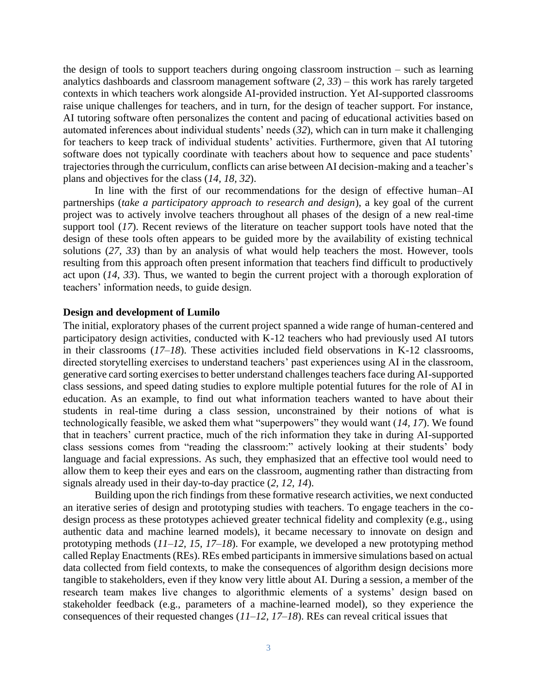the design of tools to support teachers during ongoing classroom instruction – such as learning analytics dashboards and classroom management software (*2, 33*) – this work has rarely targeted contexts in which teachers work alongside AI-provided instruction. Yet AI-supported classrooms raise unique challenges for teachers, and in turn, for the design of teacher support. For instance, AI tutoring software often personalizes the content and pacing of educational activities based on automated inferences about individual students' needs (*32*), which can in turn make it challenging for teachers to keep track of individual students' activities. Furthermore, given that AI tutoring software does not typically coordinate with teachers about how to sequence and pace students' trajectories through the curriculum, conflicts can arise between AI decision-making and a teacher's plans and objectives for the class (*14, 18, 32*).

In line with the first of our recommendations for the design of effective human–AI partnerships (*take a participatory approach to research and design*), a key goal of the current project was to actively involve teachers throughout all phases of the design of a new real-time support tool (*17*). Recent reviews of the literature on teacher support tools have noted that the design of these tools often appears to be guided more by the availability of existing technical solutions (*27, 33*) than by an analysis of what would help teachers the most. However, tools resulting from this approach often present information that teachers find difficult to productively act upon (*14, 33*). Thus, we wanted to begin the current project with a thorough exploration of teachers' information needs, to guide design.

#### **Design and development of Lumilo**

The initial, exploratory phases of the current project spanned a wide range of human-centered and participatory design activities, conducted with K-12 teachers who had previously used AI tutors in their classrooms (*17–18*). These activities included field observations in K-12 classrooms, directed storytelling exercises to understand teachers' past experiences using AI in the classroom, generative card sorting exercises to better understand challenges teachers face during AI-supported class sessions, and speed dating studies to explore multiple potential futures for the role of AI in education. As an example, to find out what information teachers wanted to have about their students in real-time during a class session, unconstrained by their notions of what is technologically feasible, we asked them what "superpowers" they would want (*14, 17*). We found that in teachers' current practice, much of the rich information they take in during AI-supported class sessions comes from "reading the classroom:" actively looking at their students' body language and facial expressions. As such, they emphasized that an effective tool would need to allow them to keep their eyes and ears on the classroom, augmenting rather than distracting from signals already used in their day-to-day practice (*2, 12, 14*).

Building upon the rich findings from these formative research activities, we next conducted an iterative series of design and prototyping studies with teachers. To engage teachers in the codesign process as these prototypes achieved greater technical fidelity and complexity (e.g., using authentic data and machine learned models), it became necessary to innovate on design and prototyping methods (*11–12, 15, 17–18*). For example, we developed a new prototyping method called Replay Enactments (REs). REs embed participants in immersive simulations based on actual data collected from field contexts, to make the consequences of algorithm design decisions more tangible to stakeholders, even if they know very little about AI. During a session, a member of the research team makes live changes to algorithmic elements of a systems' design based on stakeholder feedback (e.g., parameters of a machine-learned model), so they experience the consequences of their requested changes (*11–12, 17–18*). REs can reveal critical issues that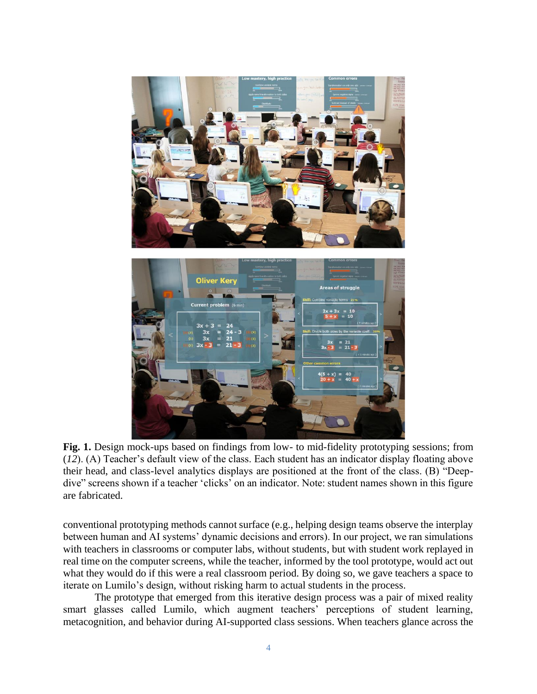

**Fig. 1.** Design mock-ups based on findings from low- to mid-fidelity prototyping sessions; from (*12*). (A) Teacher's default view of the class. Each student has an indicator display floating above their head, and class-level analytics displays are positioned at the front of the class. (B) "Deepdive" screens shown if a teacher 'clicks' on an indicator. Note: student names shown in this figure are fabricated.

conventional prototyping methods cannot surface (e.g., helping design teams observe the interplay between human and AI systems' dynamic decisions and errors). In our project, we ran simulations with teachers in classrooms or computer labs, without students, but with student work replayed in real time on the computer screens, while the teacher, informed by the tool prototype, would act out what they would do if this were a real classroom period. By doing so, we gave teachers a space to iterate on Lumilo's design, without risking harm to actual students in the process.

The prototype that emerged from this iterative design process was a pair of mixed reality smart glasses called Lumilo, which augment teachers' perceptions of student learning, metacognition, and behavior during AI-supported class sessions. When teachers glance across the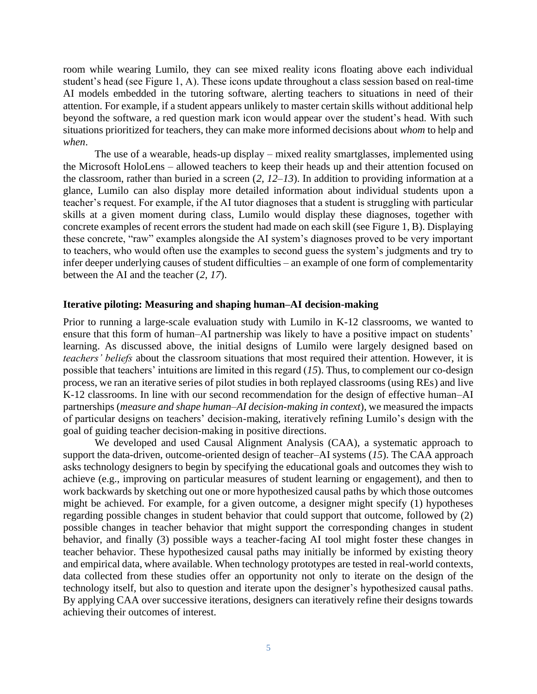room while wearing Lumilo, they can see mixed reality icons floating above each individual student's head (see Figure 1, A). These icons update throughout a class session based on real-time AI models embedded in the tutoring software, alerting teachers to situations in need of their attention. For example, if a student appears unlikely to master certain skills without additional help beyond the software, a red question mark icon would appear over the student's head. With such situations prioritized for teachers, they can make more informed decisions about *whom* to help and *when*.

The use of a wearable, heads-up display – mixed reality smartglasses, implemented using the Microsoft HoloLens – allowed teachers to keep their heads up and their attention focused on the classroom, rather than buried in a screen (*2, 12–13*). In addition to providing information at a glance, Lumilo can also display more detailed information about individual students upon a teacher's request. For example, if the AI tutor diagnoses that a student is struggling with particular skills at a given moment during class, Lumilo would display these diagnoses, together with concrete examples of recent errors the student had made on each skill (see Figure 1, B). Displaying these concrete, "raw" examples alongside the AI system's diagnoses proved to be very important to teachers, who would often use the examples to second guess the system's judgments and try to infer deeper underlying causes of student difficulties – an example of one form of complementarity between the AI and the teacher (*2, 17*).

### **Iterative piloting: Measuring and shaping human–AI decision-making**

Prior to running a large-scale evaluation study with Lumilo in K-12 classrooms, we wanted to ensure that this form of human–AI partnership was likely to have a positive impact on students' learning. As discussed above, the initial designs of Lumilo were largely designed based on *teachers' beliefs* about the classroom situations that most required their attention. However, it is possible that teachers' intuitions are limited in this regard (*15*). Thus, to complement our co-design process, we ran an iterative series of pilot studies in both replayed classrooms (using REs) and live K-12 classrooms. In line with our second recommendation for the design of effective human–AI partnerships (*measure and shape human–AI decision-making in context*), we measured the impacts of particular designs on teachers' decision-making, iteratively refining Lumilo's design with the goal of guiding teacher decision-making in positive directions.

We developed and used Causal Alignment Analysis (CAA), a systematic approach to support the data-driven, outcome-oriented design of teacher–AI systems (*15*). The CAA approach asks technology designers to begin by specifying the educational goals and outcomes they wish to achieve (e.g., improving on particular measures of student learning or engagement), and then to work backwards by sketching out one or more hypothesized causal paths by which those outcomes might be achieved. For example, for a given outcome, a designer might specify (1) hypotheses regarding possible changes in student behavior that could support that outcome, followed by (2) possible changes in teacher behavior that might support the corresponding changes in student behavior, and finally (3) possible ways a teacher-facing AI tool might foster these changes in teacher behavior. These hypothesized causal paths may initially be informed by existing theory and empirical data, where available. When technology prototypes are tested in real-world contexts, data collected from these studies offer an opportunity not only to iterate on the design of the technology itself, but also to question and iterate upon the designer's hypothesized causal paths. By applying CAA over successive iterations, designers can iteratively refine their designs towards achieving their outcomes of interest.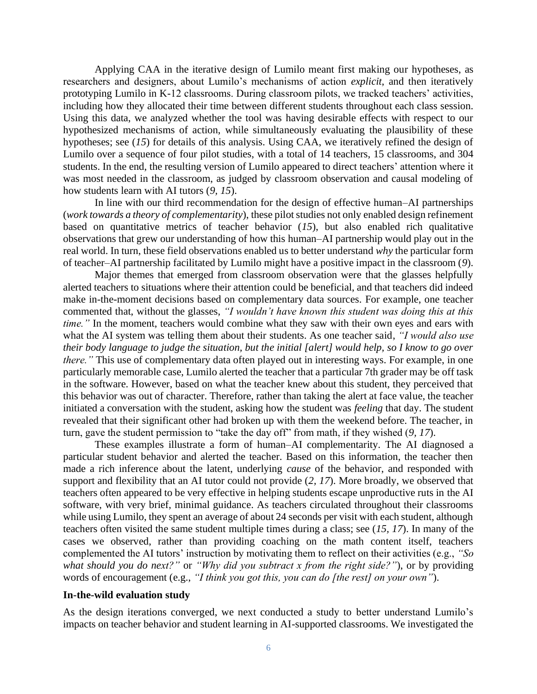Applying CAA in the iterative design of Lumilo meant first making our hypotheses, as researchers and designers, about Lumilo's mechanisms of action *explicit*, and then iteratively prototyping Lumilo in K-12 classrooms. During classroom pilots, we tracked teachers' activities, including how they allocated their time between different students throughout each class session. Using this data, we analyzed whether the tool was having desirable effects with respect to our hypothesized mechanisms of action, while simultaneously evaluating the plausibility of these hypotheses; see (*15*) for details of this analysis. Using CAA, we iteratively refined the design of Lumilo over a sequence of four pilot studies, with a total of 14 teachers, 15 classrooms, and 304 students. In the end, the resulting version of Lumilo appeared to direct teachers' attention where it was most needed in the classroom, as judged by classroom observation and causal modeling of how students learn with AI tutors (*9, 15*).

In line with our third recommendation for the design of effective human–AI partnerships (*work towards a theory of complementarity*), these pilot studies not only enabled design refinement based on quantitative metrics of teacher behavior (*15*), but also enabled rich qualitative observations that grew our understanding of how this human–AI partnership would play out in the real world. In turn, these field observations enabled us to better understand *why* the particular form of teacher–AI partnership facilitated by Lumilo might have a positive impact in the classroom (*9*).

Major themes that emerged from classroom observation were that the glasses helpfully alerted teachers to situations where their attention could be beneficial, and that teachers did indeed make in-the-moment decisions based on complementary data sources. For example, one teacher commented that, without the glasses, *"I wouldn't have known this student was doing this at this time.*" In the moment, teachers would combine what they saw with their own eyes and ears with what the AI system was telling them about their students. As one teacher said, *"I would also use their body language to judge the situation, but the initial [alert] would help, so I know to go over there.*" This use of complementary data often played out in interesting ways. For example, in one particularly memorable case, Lumilo alerted the teacher that a particular 7th grader may be off task in the software. However, based on what the teacher knew about this student, they perceived that this behavior was out of character. Therefore, rather than taking the alert at face value, the teacher initiated a conversation with the student, asking how the student was *feeling* that day. The student revealed that their significant other had broken up with them the weekend before. The teacher, in turn, gave the student permission to "take the day off" from math, if they wished (*9, 17*).

These examples illustrate a form of human–AI complementarity. The AI diagnosed a particular student behavior and alerted the teacher. Based on this information, the teacher then made a rich inference about the latent, underlying *cause* of the behavior, and responded with support and flexibility that an AI tutor could not provide (*2, 17*). More broadly, we observed that teachers often appeared to be very effective in helping students escape unproductive ruts in the AI software, with very brief, minimal guidance. As teachers circulated throughout their classrooms while using Lumilo, they spent an average of about 24 seconds per visit with each student, although teachers often visited the same student multiple times during a class; see (*15, 17*). In many of the cases we observed, rather than providing coaching on the math content itself, teachers complemented the AI tutors' instruction by motivating them to reflect on their activities (e.g., *"So what should you do next?"* or *"Why did you subtract x from the right side?"*), or by providing words of encouragement (e.g., *"I think you got this, you can do [the rest] on your own"*).

### **In-the-wild evaluation study**

As the design iterations converged, we next conducted a study to better understand Lumilo's impacts on teacher behavior and student learning in AI-supported classrooms. We investigated the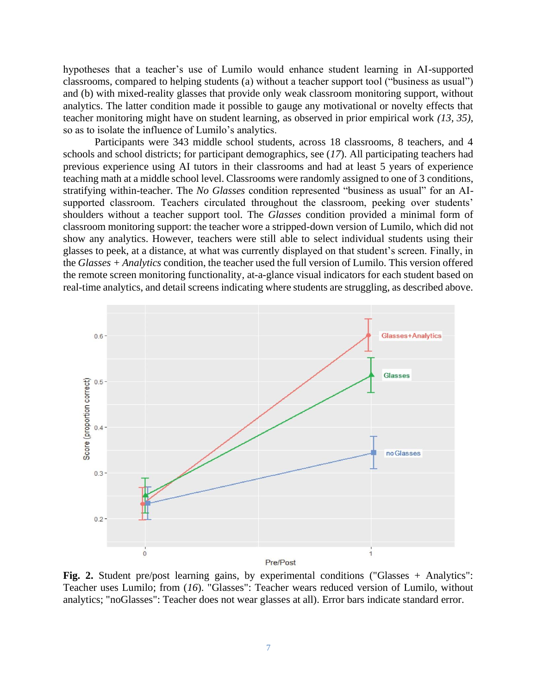hypotheses that a teacher's use of Lumilo would enhance student learning in AI-supported classrooms, compared to helping students (a) without a teacher support tool ("business as usual") and (b) with mixed-reality glasses that provide only weak classroom monitoring support, without analytics. The latter condition made it possible to gauge any motivational or novelty effects that teacher monitoring might have on student learning, as observed in prior empirical work *(13, 35)*, so as to isolate the influence of Lumilo's analytics.

Participants were 343 middle school students, across 18 classrooms, 8 teachers, and 4 schools and school districts; for participant demographics, see (*17*). All participating teachers had previous experience using AI tutors in their classrooms and had at least 5 years of experience teaching math at a middle school level. Classrooms were randomly assigned to one of 3 conditions, stratifying within-teacher. The *No Glasses* condition represented "business as usual" for an AIsupported classroom. Teachers circulated throughout the classroom, peeking over students' shoulders without a teacher support tool. The *Glasses* condition provided a minimal form of classroom monitoring support: the teacher wore a stripped-down version of Lumilo, which did not show any analytics. However, teachers were still able to select individual students using their glasses to peek, at a distance, at what was currently displayed on that student's screen. Finally, in the *Glasses + Analytics* condition, the teacher used the full version of Lumilo. This version offered the remote screen monitoring functionality*,* at-a-glance visual indicators for each student based on real-time analytics, and detail screens indicating where students are struggling, as described above.



**Fig. 2.** Student pre/post learning gains, by experimental conditions ("Glasses + Analytics": Teacher uses Lumilo; from (*16*). "Glasses": Teacher wears reduced version of Lumilo, without analytics; "noGlasses": Teacher does not wear glasses at all). Error bars indicate standard error.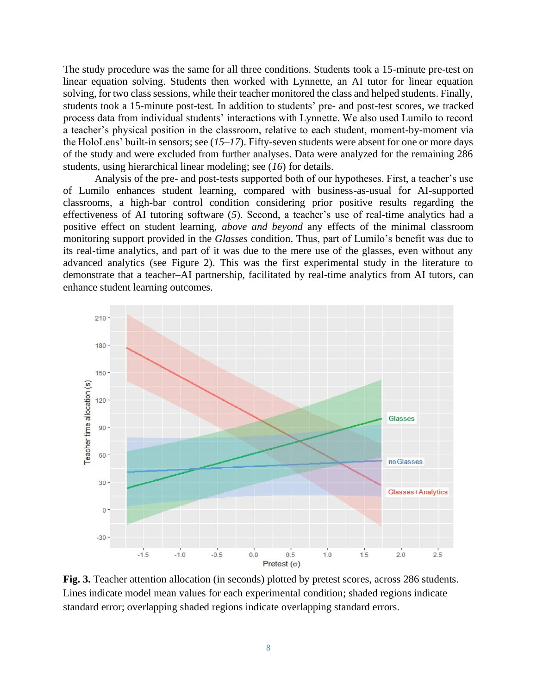The study procedure was the same for all three conditions. Students took a 15-minute pre-test on linear equation solving. Students then worked with Lynnette, an AI tutor for linear equation solving, for two class sessions, while their teacher monitored the class and helped students. Finally, students took a 15-minute post-test. In addition to students' pre- and post-test scores, we tracked process data from individual students' interactions with Lynnette. We also used Lumilo to record a teacher's physical position in the classroom, relative to each student, moment-by-moment via the HoloLens' built-in sensors; see (*15–17*). Fifty-seven students were absent for one or more days of the study and were excluded from further analyses. Data were analyzed for the remaining 286 students, using hierarchical linear modeling; see (*16*) for details.

Analysis of the pre- and post-tests supported both of our hypotheses. First, a teacher's use of Lumilo enhances student learning, compared with business-as-usual for AI-supported classrooms, a high-bar control condition considering prior positive results regarding the effectiveness of AI tutoring software (*5*). Second, a teacher's use of real-time analytics had a positive effect on student learning, *above and beyond* any effects of the minimal classroom monitoring support provided in the *Glasses* condition. Thus, part of Lumilo's benefit was due to its real-time analytics, and part of it was due to the mere use of the glasses, even without any advanced analytics (see Figure 2). This was the first experimental study in the literature to demonstrate that a teacher–AI partnership, facilitated by real-time analytics from AI tutors, can enhance student learning outcomes.



**Fig. 3.** Teacher attention allocation (in seconds) plotted by pretest scores, across 286 students. Lines indicate model mean values for each experimental condition; shaded regions indicate standard error; overlapping shaded regions indicate overlapping standard errors.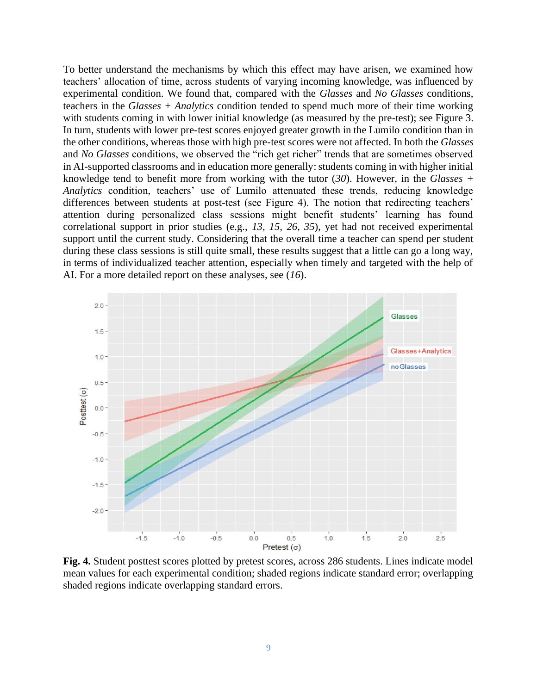To better understand the mechanisms by which this effect may have arisen, we examined how teachers' allocation of time, across students of varying incoming knowledge, was influenced by experimental condition. We found that, compared with the *Glasses* and *No Glasses* conditions, teachers in the *Glasses + Analytics* condition tended to spend much more of their time working with students coming in with lower initial knowledge (as measured by the pre-test); see Figure 3. In turn, students with lower pre-test scores enjoyed greater growth in the Lumilo condition than in the other conditions, whereas those with high pre-test scores were not affected. In both the *Glasses* and *No Glasses* conditions, we observed the "rich get richer" trends that are sometimes observed in AI-supported classrooms and in education more generally: students coming in with higher initial knowledge tend to benefit more from working with the tutor (*30*). However, in the *Glasses + Analytics* condition, teachers' use of Lumilo attenuated these trends, reducing knowledge differences between students at post-test (see Figure 4). The notion that redirecting teachers' attention during personalized class sessions might benefit students' learning has found correlational support in prior studies (e.g., *13, 15, 26, 35*), yet had not received experimental support until the current study. Considering that the overall time a teacher can spend per student during these class sessions is still quite small, these results suggest that a little can go a long way, in terms of individualized teacher attention, especially when timely and targeted with the help of AI. For a more detailed report on these analyses, see (*16*).



**Fig. 4.** Student posttest scores plotted by pretest scores, across 286 students. Lines indicate model mean values for each experimental condition; shaded regions indicate standard error; overlapping shaded regions indicate overlapping standard errors.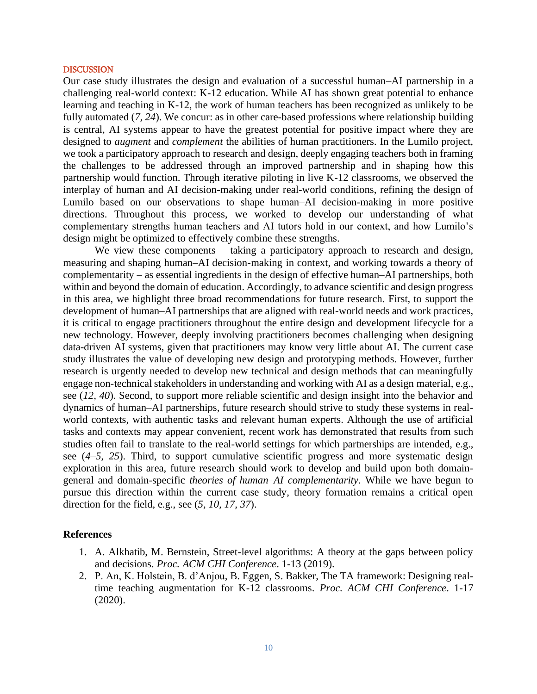#### **DISCUSSION**

Our case study illustrates the design and evaluation of a successful human–AI partnership in a challenging real-world context: K-12 education. While AI has shown great potential to enhance learning and teaching in K-12, the work of human teachers has been recognized as unlikely to be fully automated (*7, 24*). We concur: as in other care-based professions where relationship building is central, AI systems appear to have the greatest potential for positive impact where they are designed to *augment* and *complement* the abilities of human practitioners. In the Lumilo project, we took a participatory approach to research and design, deeply engaging teachers both in framing the challenges to be addressed through an improved partnership and in shaping how this partnership would function. Through iterative piloting in live K-12 classrooms, we observed the interplay of human and AI decision-making under real-world conditions, refining the design of Lumilo based on our observations to shape human–AI decision-making in more positive directions. Throughout this process, we worked to develop our understanding of what complementary strengths human teachers and AI tutors hold in our context, and how Lumilo's design might be optimized to effectively combine these strengths.

We view these components – taking a participatory approach to research and design, measuring and shaping human–AI decision-making in context, and working towards a theory of complementarity – as essential ingredients in the design of effective human–AI partnerships, both within and beyond the domain of education. Accordingly, to advance scientific and design progress in this area, we highlight three broad recommendations for future research. First, to support the development of human–AI partnerships that are aligned with real-world needs and work practices, it is critical to engage practitioners throughout the entire design and development lifecycle for a new technology. However, deeply involving practitioners becomes challenging when designing data-driven AI systems, given that practitioners may know very little about AI. The current case study illustrates the value of developing new design and prototyping methods. However, further research is urgently needed to develop new technical and design methods that can meaningfully engage non-technical stakeholders in understanding and working with AI as a design material, e.g., see (*12, 40*). Second, to support more reliable scientific and design insight into the behavior and dynamics of human–AI partnerships, future research should strive to study these systems in realworld contexts, with authentic tasks and relevant human experts. Although the use of artificial tasks and contexts may appear convenient, recent work has demonstrated that results from such studies often fail to translate to the real-world settings for which partnerships are intended, e.g., see (*4–5, 25*). Third, to support cumulative scientific progress and more systematic design exploration in this area, future research should work to develop and build upon both domaingeneral and domain-specific *theories of human–AI complementarity*. While we have begun to pursue this direction within the current case study, theory formation remains a critical open direction for the field, e.g., see (*5, 10, 17, 37*).

### **References**

- 1. A. Alkhatib, M. Bernstein, Street-level algorithms: A theory at the gaps between policy and decisions. *Proc. ACM CHI Conference*. 1-13 (2019).
- 2. P. An, K. Holstein, B. d'Anjou, B. Eggen, S. Bakker, The TA framework: Designing realtime teaching augmentation for K-12 classrooms. *Proc. ACM CHI Conference*. 1-17 (2020).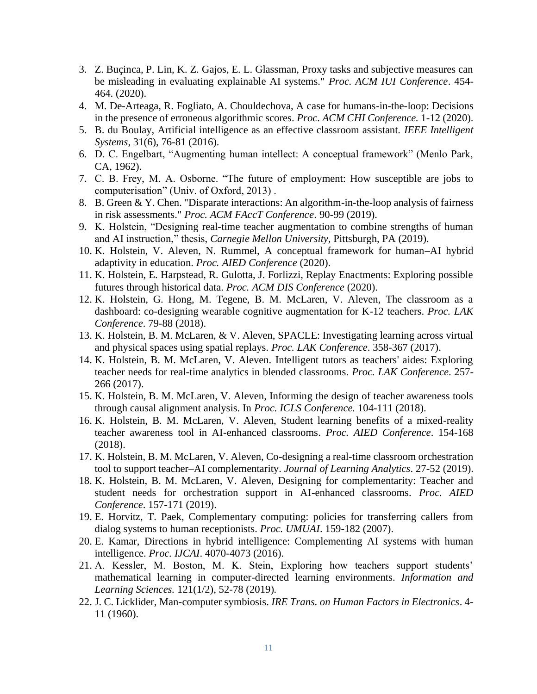- 3. Z. Buçinca, P. Lin, K. Z. Gajos, E. L. Glassman, Proxy tasks and subjective measures can be misleading in evaluating explainable AI systems." *Proc. ACM IUI Conference*. 454- 464. (2020).
- 4. M. De-Arteaga, R. Fogliato, A. Chouldechova, A case for humans-in-the-loop: Decisions in the presence of erroneous algorithmic scores. *Proc. ACM CHI Conference.* 1-12 (2020).
- 5. B. du Boulay, Artificial intelligence as an effective classroom assistant. *IEEE Intelligent Systems*, 31(6), 76-81 (2016).
- 6. D. C. Engelbart, "Augmenting human intellect: A conceptual framework" (Menlo Park, CA, 1962).
- 7. C. B. Frey, M. A. Osborne. "The future of employment: How susceptible are jobs to computerisation" (Univ. of Oxford, 2013) .
- 8. B. Green & Y. Chen. "Disparate interactions: An algorithm-in-the-loop analysis of fairness in risk assessments." *Proc. ACM FAccT Conference*. 90-99 (2019).
- 9. K. Holstein, "Designing real-time teacher augmentation to combine strengths of human and AI instruction," thesis, *Carnegie Mellon University,* Pittsburgh, PA (2019).
- 10. K. Holstein, V. Aleven, N. Rummel, A conceptual framework for human–AI hybrid adaptivity in education. *Proc. AIED Conference* (2020).
- 11. K. Holstein, E. Harpstead, R. Gulotta, J. Forlizzi, Replay Enactments: Exploring possible futures through historical data. *Proc. ACM DIS Conference* (2020).
- 12. K. Holstein, G. Hong, M. Tegene, B. M. McLaren, V. Aleven, The classroom as a dashboard: co-designing wearable cognitive augmentation for K-12 teachers. *Proc. LAK Conference*. 79-88 (2018).
- 13. K. Holstein, B. M. McLaren, & V. Aleven, SPACLE: Investigating learning across virtual and physical spaces using spatial replays. *Proc. LAK Conference*. 358-367 (2017).
- 14. K. Holstein, B. M. McLaren, V. Aleven. Intelligent tutors as teachers' aides: Exploring teacher needs for real-time analytics in blended classrooms. *Proc. LAK Conference*. 257- 266 (2017).
- 15. K. Holstein, B. M. McLaren, V. Aleven, Informing the design of teacher awareness tools through causal alignment analysis. In *Proc. ICLS Conference.* 104-111 (2018).
- 16. K. Holstein, B. M. McLaren, V. Aleven, Student learning benefits of a mixed-reality teacher awareness tool in AI-enhanced classrooms. *Proc. AIED Conference*. 154-168 (2018).
- 17. K. Holstein, B. M. McLaren, V. Aleven, Co-designing a real-time classroom orchestration tool to support teacher–AI complementarity. *Journal of Learning Analytics*. 27-52 (2019).
- 18. K. Holstein, B. M. McLaren, V. Aleven, Designing for complementarity: Teacher and student needs for orchestration support in AI-enhanced classrooms. *Proc. AIED Conference*. 157-171 (2019).
- 19. E. Horvitz, T. Paek, Complementary computing: policies for transferring callers from dialog systems to human receptionists. *Proc. UMUAI*. 159-182 (2007).
- 20. E. Kamar, Directions in hybrid intelligence: Complementing AI systems with human intelligence. *Proc. IJCAI*. 4070-4073 (2016).
- 21. A. Kessler, M. Boston, M. K. Stein, Exploring how teachers support students' mathematical learning in computer-directed learning environments. *Information and Learning Sciences.* 121(1/2), 52-78 (2019)*.*
- 22. J. C. Licklider, Man-computer symbiosis. *IRE Trans. on Human Factors in Electronics*. 4- 11 (1960).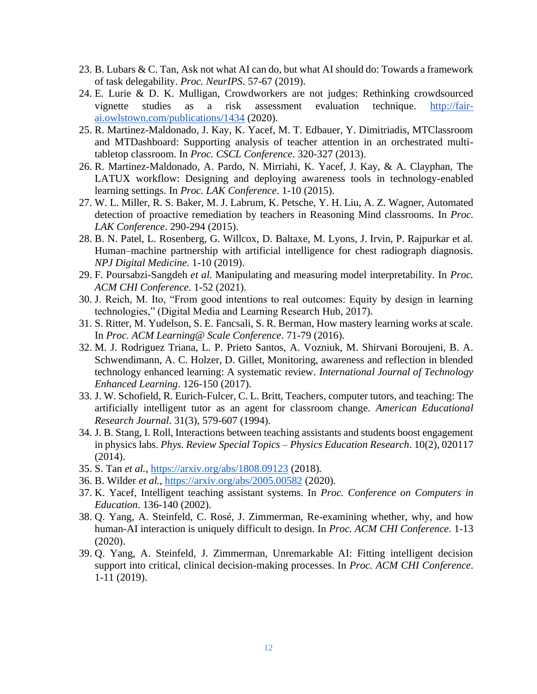- 23. B. Lubars & C. Tan, Ask not what AI can do, but what AI should do: Towards a framework of task delegability. *Proc. NeurIPS*. 57-67 (2019).
- 24. E. Lurie & D. K. Mulligan, Crowdworkers are not judges: Rethinking crowdsourced vignette studies as a risk assessment evaluation technique. [http://fair](http://fair-ai.owlstown.com/publications/1434)[ai.owlstown.com/publications/1434](http://fair-ai.owlstown.com/publications/1434) (2020).
- 25. R. Martinez-Maldonado, J. Kay, K. Yacef, M. T. Edbauer, Y. Dimitriadis, MTClassroom and MTDashboard: Supporting analysis of teacher attention in an orchestrated multitabletop classroom. In *Proc. CSCL Conference*. 320-327 (2013).
- 26. R. Martinez-Maldonado, A. Pardo, N. Mirriahi, K. Yacef, J. Kay, & A. Clayphan, The LATUX workflow: Designing and deploying awareness tools in technology-enabled learning settings. In *Proc. LAK Conference*. 1-10 (2015).
- 27. W. L. Miller, R. S. Baker, M. J. Labrum, K. Petsche, Y. H. Liu, A. Z. Wagner, Automated detection of proactive remediation by teachers in Reasoning Mind classrooms. In *Proc. LAK Conference*. 290-294 (2015).
- 28. B. N. Patel, L. Rosenberg, G. Willcox, D. Baltaxe, M. Lyons, J. Irvin, P. Rajpurkar et al. Human–machine partnership with artificial intelligence for chest radiograph diagnosis. *NPJ Digital Medicine*. 1-10 (2019).
- 29. F. Poursabzi-Sangdeh *et al.* Manipulating and measuring model interpretability. In *Proc. ACM CHI Conference*. 1-52 (2021).
- 30. J. Reich, M. Ito, "From good intentions to real outcomes: Equity by design in learning technologies," (Digital Media and Learning Research Hub, 2017).
- 31. S. Ritter, M. Yudelson, S. E. Fancsali, S. R. Berman, How mastery learning works at scale. In *Proc. ACM Learning@ Scale Conference*. 71-79 (2016).
- 32. M. J. Rodriguez Triana, L. P. Prieto Santos, A. Vozniuk, M. Shirvani Boroujeni, B. A. Schwendimann, A. C. Holzer, D. Gillet, Monitoring, awareness and reflection in blended technology enhanced learning: A systematic review. *International Journal of Technology Enhanced Learning*. 126-150 (2017).
- 33. J. W. Schofield, R. Eurich-Fulcer, C. L. Britt, Teachers, computer tutors, and teaching: The artificially intelligent tutor as an agent for classroom change. *American Educational Research Journal*. 31(3), 579-607 (1994).
- 34. J. B. Stang, I. Roll, Interactions between teaching assistants and students boost engagement in physics labs. *Phys. Review Special Topics – Physics Education Research*. 10(2), 020117 (2014).
- 35. S. Tan *et al.*,<https://arxiv.org/abs/1808.09123> (2018)*.*
- 36. B. Wilder *et al.*,<https://arxiv.org/abs/2005.00582> (2020)*.*
- 37. K. Yacef, Intelligent teaching assistant systems. In *Proc. Conference on Computers in Education*. 136-140 (2002).
- 38. Q. Yang, A. Steinfeld, C. Rosé, J. Zimmerman, Re-examining whether, why, and how human-AI interaction is uniquely difficult to design. In *Proc. ACM CHI Conference*. 1-13 (2020).
- 39. Q. Yang, A. Steinfeld, J. Zimmerman, Unremarkable AI: Fitting intelligent decision support into critical, clinical decision-making processes. In *Proc. ACM CHI Conference*. 1-11 (2019).